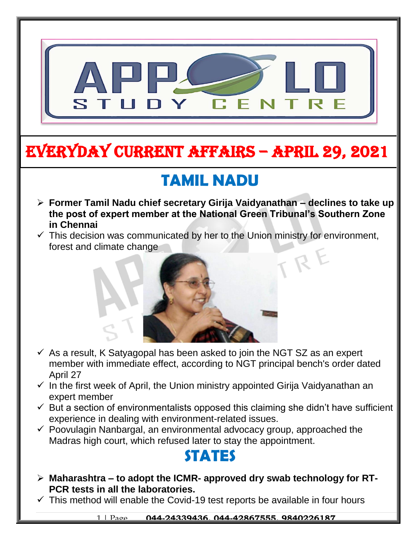

# EVERYDAY CURRENT AFFAIRS – APRIL 29, 2021

-

# **TAMIL NADU**

- **Former Tamil Nadu chief secretary Girija Vaidyanathan – declines to take up the post of expert member at the National Green Tribunal's Southern Zone in Chennai**
- $\checkmark$  This decision was communicated by her to the Union ministry for environment, forest and climate change



- $\checkmark$  As a result, K Satyagopal has been asked to join the NGT SZ as an expert member with immediate effect, according to NGT principal bench's order dated April 27
- $\checkmark$  In the first week of April, the Union ministry appointed Girija Vaidyanathan an expert member
- $\checkmark$  But a section of environmentalists opposed this claiming she didn't have sufficient experience in dealing with environment-related issues.
- $\checkmark$  Poovulagin Nanbargal, an environmental advocacy group, approached the Madras high court, which refused later to stay the appointment.

### **STATES**

- **Maharashtra – to adopt the ICMR- approved dry swab technology for RT-PCR tests in all the laboratories.**
- $\checkmark$  This method will enable the Covid-19 test reports be available in four hours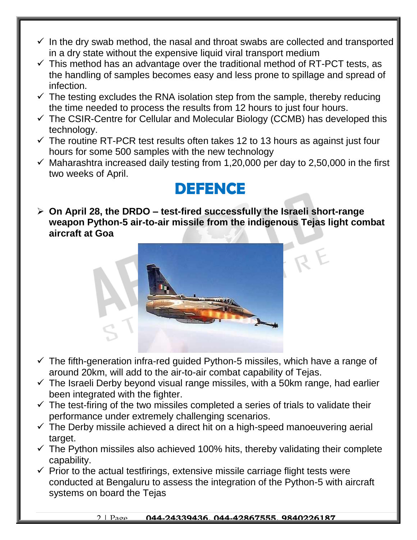- $\checkmark$  In the dry swab method, the nasal and throat swabs are collected and transported in a dry state without the expensive liquid viral transport medium
- $\checkmark$  This method has an advantage over the traditional method of RT-PCT tests, as the handling of samples becomes easy and less prone to spillage and spread of infection.
- $\checkmark$  The testing excludes the RNA isolation step from the sample, thereby reducing the time needed to process the results from 12 hours to just four hours.
- $\checkmark$  The CSIR-Centre for Cellular and Molecular Biology (CCMB) has developed this technology.
- $\checkmark$  The routine RT-PCR test results often takes 12 to 13 hours as against just four hours for some 500 samples with the new technology
- $\checkmark$  Maharashtra increased daily testing from 1,20,000 per day to 2,50,000 in the first two weeks of April.

#### **DEFENCE**

 **On April 28, the DRDO – test-fired successfully the Israeli short-range weapon Python-5 air-to-air missile from the indigenous Tejas light combat aircraft at Goa**



- $\checkmark$  The fifth-generation infra-red guided Python-5 missiles, which have a range of around 20km, will add to the air-to-air combat capability of Tejas.
- $\checkmark$  The Israeli Derby beyond visual range missiles, with a 50km range, had earlier been integrated with the fighter.
- $\checkmark$  The test-firing of the two missiles completed a series of trials to validate their performance under extremely challenging scenarios.
- $\checkmark$  The Derby missile achieved a direct hit on a high-speed manoeuvering aerial target.
- $\checkmark$  The Python missiles also achieved 100% hits, thereby validating their complete capability.
- $\checkmark$  Prior to the actual testfirings, extensive missile carriage flight tests were conducted at Bengaluru to assess the integration of the Python-5 with aircraft systems on board the Tejas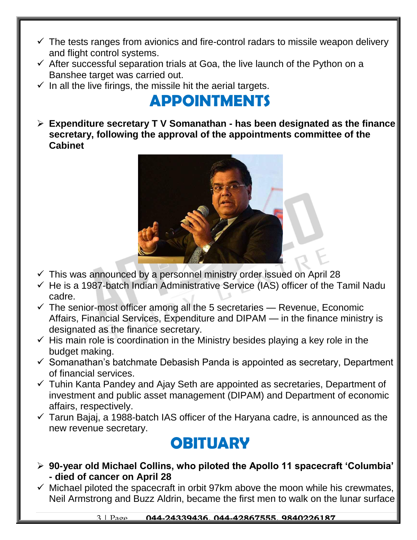- $\checkmark$  The tests ranges from avionics and fire-control radars to missile weapon delivery and flight control systems.
- $\checkmark$  After successful separation trials at Goa, the live launch of the Python on a Banshee target was carried out.
- $\checkmark$  In all the live firings, the missile hit the aerial targets.

### **APPOINTMENTS**

 **Expenditure secretary T V Somanathan - has been designated as the finance secretary, following the approval of the appointments committee of the Cabinet**



- $\checkmark$  This was announced by a personnel ministry order issued on April 28
- $\checkmark$  He is a 1987-batch Indian Administrative Service (IAS) officer of the Tamil Nadu cadre.
- $\checkmark$  The senior-most officer among all the 5 secretaries Revenue, Economic Affairs, Financial Services, Expenditure and DIPAM — in the finance ministry is designated as the finance secretary.
- $\checkmark$  His main role is coordination in the Ministry besides playing a key role in the budget making.
- $\checkmark$  Somanathan's batchmate Debasish Panda is appointed as secretary, Department of financial services.
- $\checkmark$  Tuhin Kanta Pandey and Ajay Seth are appointed as secretaries, Department of investment and public asset management (DIPAM) and Department of economic affairs, respectively.
- $\checkmark$  Tarun Bajaj, a 1988-batch IAS officer of the Haryana cadre, is announced as the new revenue secretary.

#### **OBITUARY**

- **90-year old Michael Collins, who piloted the Apollo 11 spacecraft 'Columbia' - died of cancer on April 28**
- $\checkmark$  Michael piloted the spacecraft in orbit 97km above the moon while his crewmates, Neil Armstrong and Buzz Aldrin, became the first men to walk on the lunar surface